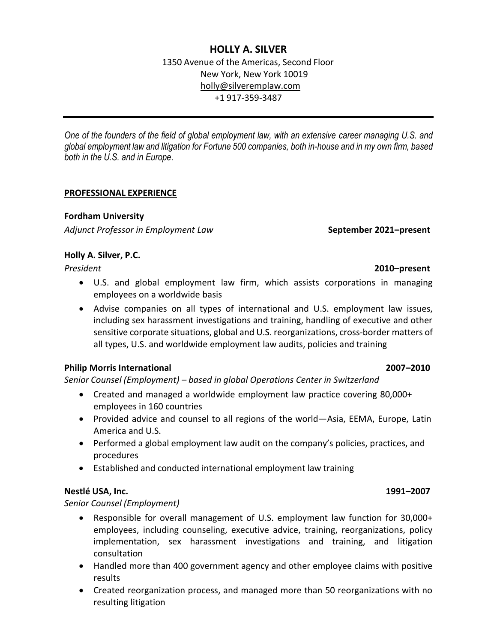## **HOLLY A. SILVER**

1350 Avenue of the Americas, Second Floor New York, New York 10019 [holly@silveremplaw.com](mailto:holly@silveremplaw.com) +1 917-359-3487

*One of the founders of the field of global employment law, with an extensive career managing U.S. and global employment law and litigation for Fortune 500 companies, both in-house and in my own firm, based both in the U.S. and in Europe*.

### **PROFESSIONAL EXPERIENCE**

## **Fordham University**

*Adjunct Professor in Employment Law* **September 2021–present**

## **Holly A. Silver, P.C.**

- U.S. and global employment law firm, which assists corporations in managing employees on a worldwide basis
- Advise companies on all types of international and U.S. employment law issues, including sex harassment investigations and training, handling of executive and other sensitive corporate situations, global and U.S. reorganizations, cross-border matters of all types, U.S. and worldwide employment law audits, policies and training

## **Philip Morris International 2007–2010**

*Senior Counsel (Employment) – based in global Operations Center in Switzerland*

- Created and managed a worldwide employment law practice covering 80,000+ employees in 160 countries
- Provided advice and counsel to all regions of the world—Asia, EEMA, Europe, Latin America and U.S.
- Performed a global employment law audit on the company's policies, practices, and procedures
- Established and conducted international employment law training

## **Nestlé USA, Inc. 1991–2007**

*Senior Counsel (Employment)*

- Responsible for overall management of U.S. employment law function for 30,000+ employees, including counseling, executive advice, training, reorganizations, policy implementation, sex harassment investigations and training, and litigation consultation
- Handled more than 400 government agency and other employee claims with positive results
- Created reorganization process, and managed more than 50 reorganizations with no resulting litigation

## *President* **2010–present**